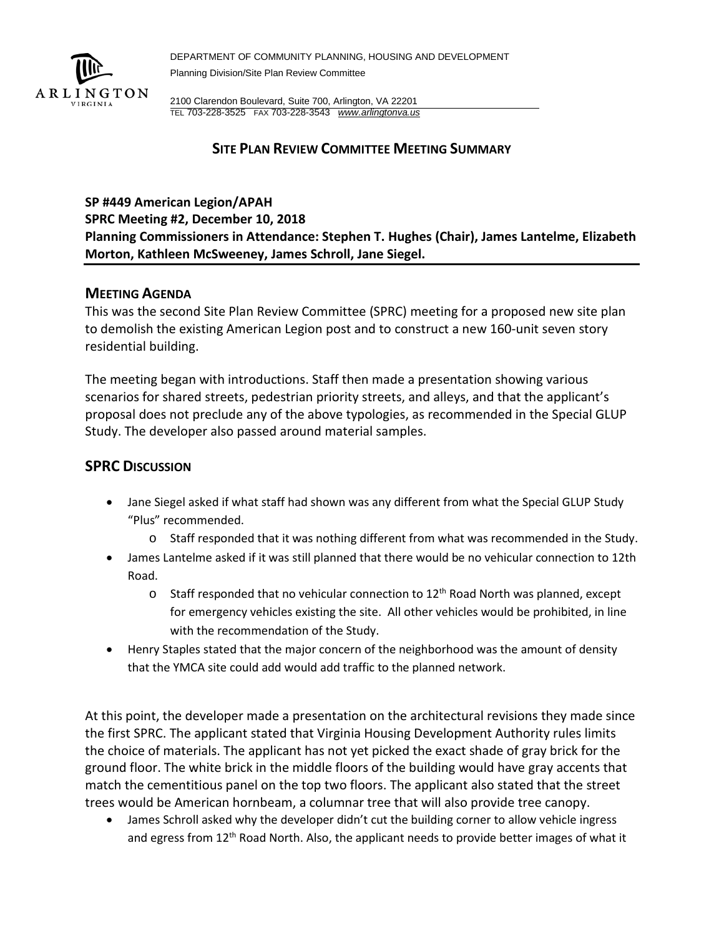

DEPARTMENT OF COMMUNITY PLANNING, HOUSING AND DEVELOPMENT Planning Division/Site Plan Review Committee

2100 Clarendon Boulevard, Suite 700, Arlington, VA 22201 TEL 703-228-3525 FAX 703-228-3543 *[www.arlingtonva.us](http://www.arlingtonva.us/)*

# **SITE PLAN REVIEW COMMITTEE MEETING SUMMARY**

## **SP #449 American Legion/APAH**

**SPRC Meeting #2, December 10, 2018 Planning Commissioners in Attendance: Stephen T. Hughes (Chair), James Lantelme, Elizabeth Morton, Kathleen McSweeney, James Schroll, Jane Siegel.**

## **MEETING AGENDA**

This was the second Site Plan Review Committee (SPRC) meeting for a proposed new site plan to demolish the existing American Legion post and to construct a new 160-unit seven story residential building.

The meeting began with introductions. Staff then made a presentation showing various scenarios for shared streets, pedestrian priority streets, and alleys, and that the applicant's proposal does not preclude any of the above typologies, as recommended in the Special GLUP Study. The developer also passed around material samples.

## **SPRC DISCUSSION**

- Jane Siegel asked if what staff had shown was any different from what the Special GLUP Study "Plus" recommended.
	- o Staff responded that it was nothing different from what was recommended in the Study.
- James Lantelme asked if it was still planned that there would be no vehicular connection to 12th Road.
	- $\circ$  Staff responded that no vehicular connection to 12<sup>th</sup> Road North was planned, except for emergency vehicles existing the site. All other vehicles would be prohibited, in line with the recommendation of the Study.
- Henry Staples stated that the major concern of the neighborhood was the amount of density that the YMCA site could add would add traffic to the planned network.

At this point, the developer made a presentation on the architectural revisions they made since the first SPRC. The applicant stated that Virginia Housing Development Authority rules limits the choice of materials. The applicant has not yet picked the exact shade of gray brick for the ground floor. The white brick in the middle floors of the building would have gray accents that match the cementitious panel on the top two floors. The applicant also stated that the street trees would be American hornbeam, a columnar tree that will also provide tree canopy.

• James Schroll asked why the developer didn't cut the building corner to allow vehicle ingress and egress from 12<sup>th</sup> Road North. Also, the applicant needs to provide better images of what it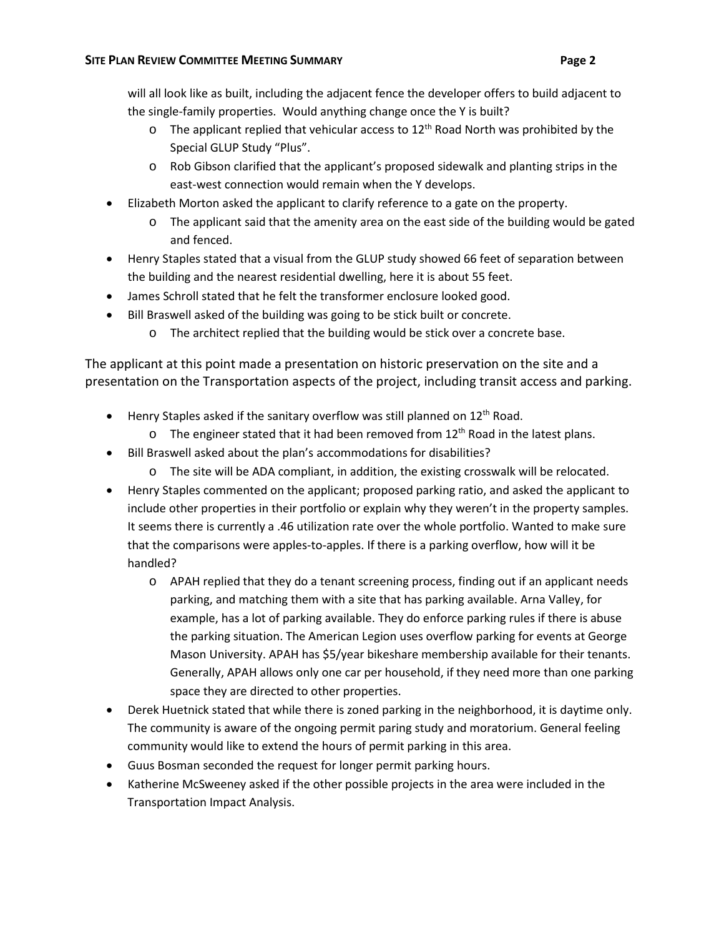- $\circ$  The applicant replied that vehicular access to 12<sup>th</sup> Road North was prohibited by the Special GLUP Study "Plus".
- o Rob Gibson clarified that the applicant's proposed sidewalk and planting strips in the east-west connection would remain when the Y develops.
- Elizabeth Morton asked the applicant to clarify reference to a gate on the property.
	- $\circ$  The applicant said that the amenity area on the east side of the building would be gated and fenced.
- Henry Staples stated that a visual from the GLUP study showed 66 feet of separation between the building and the nearest residential dwelling, here it is about 55 feet.
- James Schroll stated that he felt the transformer enclosure looked good.
- Bill Braswell asked of the building was going to be stick built or concrete.
	- o The architect replied that the building would be stick over a concrete base.

The applicant at this point made a presentation on historic preservation on the site and a presentation on the Transportation aspects of the project, including transit access and parking.

- $\bullet$  Henry Staples asked if the sanitary overflow was still planned on 12<sup>th</sup> Road.
	- $\circ$  The engineer stated that it had been removed from 12<sup>th</sup> Road in the latest plans.
- Bill Braswell asked about the plan's accommodations for disabilities?
	- o The site will be ADA compliant, in addition, the existing crosswalk will be relocated.
- Henry Staples commented on the applicant; proposed parking ratio, and asked the applicant to include other properties in their portfolio or explain why they weren't in the property samples. It seems there is currently a .46 utilization rate over the whole portfolio. Wanted to make sure that the comparisons were apples-to-apples. If there is a parking overflow, how will it be handled?
	- o APAH replied that they do a tenant screening process, finding out if an applicant needs parking, and matching them with a site that has parking available. Arna Valley, for example, has a lot of parking available. They do enforce parking rules if there is abuse the parking situation. The American Legion uses overflow parking for events at George Mason University. APAH has \$5/year bikeshare membership available for their tenants. Generally, APAH allows only one car per household, if they need more than one parking space they are directed to other properties.
- Derek Huetnick stated that while there is zoned parking in the neighborhood, it is daytime only. The community is aware of the ongoing permit paring study and moratorium. General feeling community would like to extend the hours of permit parking in this area.
- Guus Bosman seconded the request for longer permit parking hours.
- Katherine McSweeney asked if the other possible projects in the area were included in the Transportation Impact Analysis.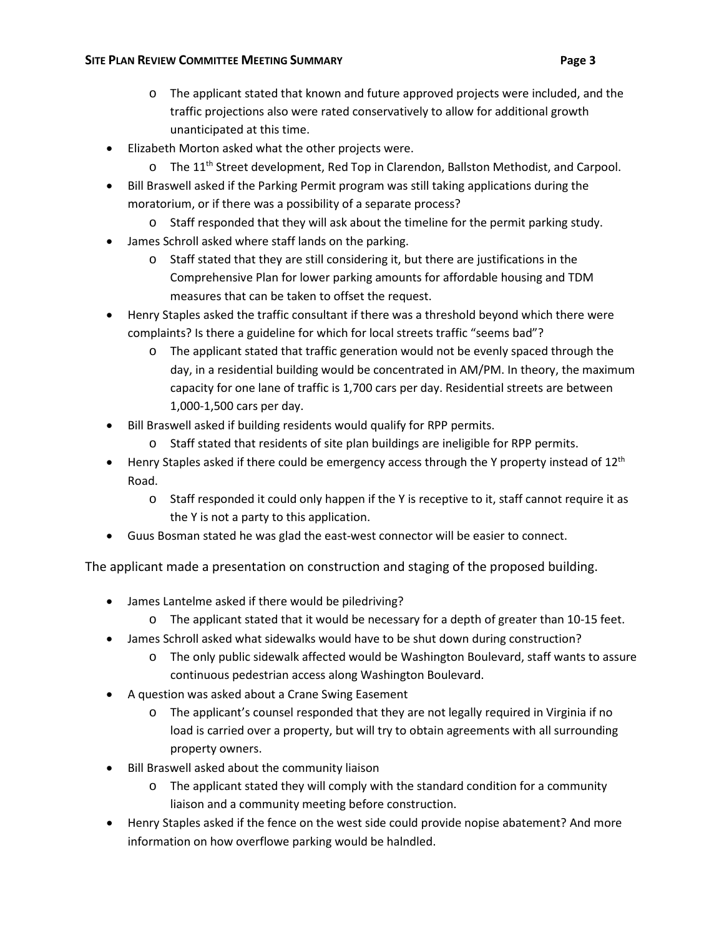- o The applicant stated that known and future approved projects were included, and the traffic projections also were rated conservatively to allow for additional growth unanticipated at this time.
- Elizabeth Morton asked what the other projects were.
	- $\circ$  The 11<sup>th</sup> Street development, Red Top in Clarendon, Ballston Methodist, and Carpool.
- Bill Braswell asked if the Parking Permit program was still taking applications during the moratorium, or if there was a possibility of a separate process?
	- $\circ$  Staff responded that they will ask about the timeline for the permit parking study.
- James Schroll asked where staff lands on the parking.
	- o Staff stated that they are still considering it, but there are justifications in the Comprehensive Plan for lower parking amounts for affordable housing and TDM measures that can be taken to offset the request.
- Henry Staples asked the traffic consultant if there was a threshold beyond which there were complaints? Is there a guideline for which for local streets traffic "seems bad"?
	- $\circ$  The applicant stated that traffic generation would not be evenly spaced through the day, in a residential building would be concentrated in AM/PM. In theory, the maximum capacity for one lane of traffic is 1,700 cars per day. Residential streets are between 1,000-1,500 cars per day.
- Bill Braswell asked if building residents would qualify for RPP permits.
	- o Staff stated that residents of site plan buildings are ineligible for RPP permits.
- Henry Staples asked if there could be emergency access through the Y property instead of  $12^{th}$ Road.
	- o Staff responded it could only happen if the Y is receptive to it, staff cannot require it as the Y is not a party to this application.
- Guus Bosman stated he was glad the east-west connector will be easier to connect.

The applicant made a presentation on construction and staging of the proposed building.

- James Lantelme asked if there would be piledriving?
	- o The applicant stated that it would be necessary for a depth of greater than 10-15 feet.
- James Schroll asked what sidewalks would have to be shut down during construction?
	- o The only public sidewalk affected would be Washington Boulevard, staff wants to assure continuous pedestrian access along Washington Boulevard.
- A question was asked about a Crane Swing Easement
	- o The applicant's counsel responded that they are not legally required in Virginia if no load is carried over a property, but will try to obtain agreements with all surrounding property owners.
- Bill Braswell asked about the community liaison
	- o The applicant stated they will comply with the standard condition for a community liaison and a community meeting before construction.
- Henry Staples asked if the fence on the west side could provide nopise abatement? And more information on how overflowe parking would be halndled.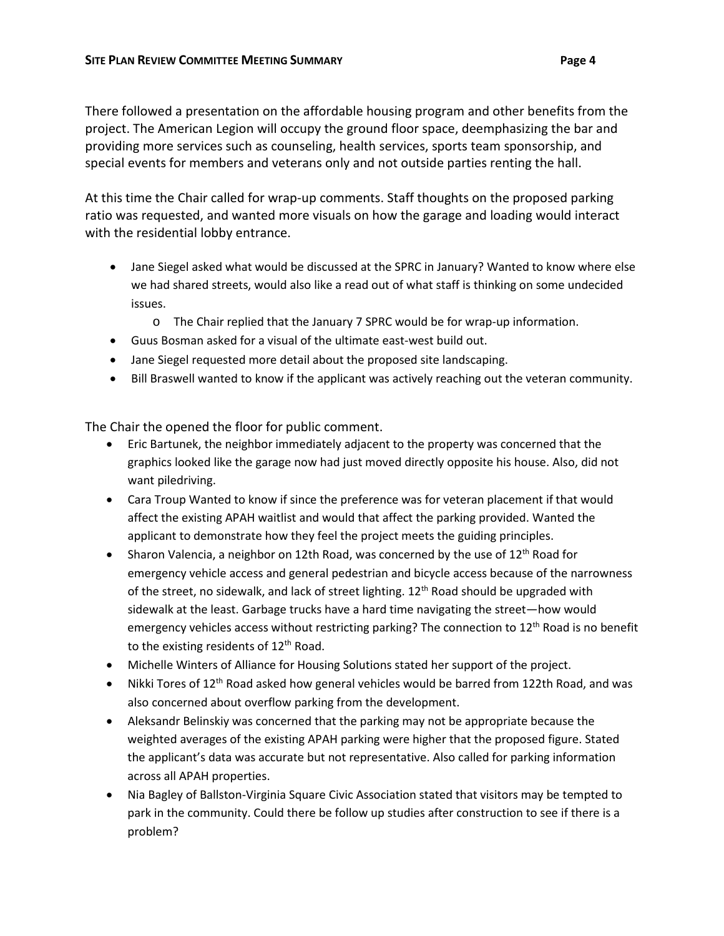There followed a presentation on the affordable housing program and other benefits from the project. The American Legion will occupy the ground floor space, deemphasizing the bar and providing more services such as counseling, health services, sports team sponsorship, and special events for members and veterans only and not outside parties renting the hall.

At this time the Chair called for wrap-up comments. Staff thoughts on the proposed parking ratio was requested, and wanted more visuals on how the garage and loading would interact with the residential lobby entrance.

- Jane Siegel asked what would be discussed at the SPRC in January? Wanted to know where else we had shared streets, would also like a read out of what staff is thinking on some undecided issues.
	- o The Chair replied that the January 7 SPRC would be for wrap-up information.
- Guus Bosman asked for a visual of the ultimate east-west build out.
- Jane Siegel requested more detail about the proposed site landscaping.
- Bill Braswell wanted to know if the applicant was actively reaching out the veteran community.

The Chair the opened the floor for public comment.

- Eric Bartunek, the neighbor immediately adjacent to the property was concerned that the graphics looked like the garage now had just moved directly opposite his house. Also, did not want piledriving.
- Cara Troup Wanted to know if since the preference was for veteran placement if that would affect the existing APAH waitlist and would that affect the parking provided. Wanted the applicant to demonstrate how they feel the project meets the guiding principles.
- Sharon Valencia, a neighbor on 12th Road, was concerned by the use of  $12<sup>th</sup>$  Road for emergency vehicle access and general pedestrian and bicycle access because of the narrowness of the street, no sidewalk, and lack of street lighting. 12<sup>th</sup> Road should be upgraded with sidewalk at the least. Garbage trucks have a hard time navigating the street—how would emergency vehicles access without restricting parking? The connection to 12<sup>th</sup> Road is no benefit to the existing residents of 12<sup>th</sup> Road.
- Michelle Winters of Alliance for Housing Solutions stated her support of the project.
- Nikki Tores of 12<sup>th</sup> Road asked how general vehicles would be barred from 122th Road, and was also concerned about overflow parking from the development.
- Aleksandr Belinskiy was concerned that the parking may not be appropriate because the weighted averages of the existing APAH parking were higher that the proposed figure. Stated the applicant's data was accurate but not representative. Also called for parking information across all APAH properties.
- Nia Bagley of Ballston-Virginia Square Civic Association stated that visitors may be tempted to park in the community. Could there be follow up studies after construction to see if there is a problem?